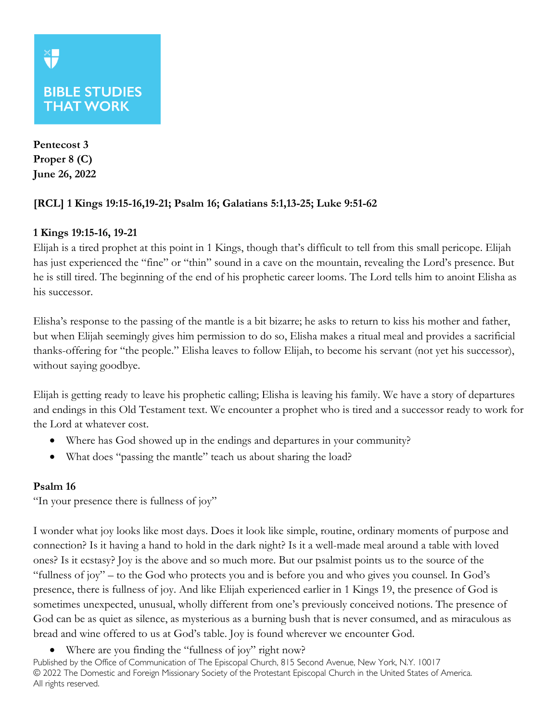# **BIBLE STUDIES THAT WORK**

**Pentecost 3 Proper 8 (C) June 26, 2022**

## **[RCL] 1 Kings 19:15-16,19-21; Psalm 16; Galatians 5:1,13-25; Luke 9:51-62**

## **1 Kings 19:15-16, 19-21**

Elijah is a tired prophet at this point in 1 Kings, though that's difficult to tell from this small pericope. Elijah has just experienced the "fine" or "thin" sound in a cave on the mountain, revealing the Lord's presence. But he is still tired. The beginning of the end of his prophetic career looms. The Lord tells him to anoint Elisha as his successor.

Elisha's response to the passing of the mantle is a bit bizarre; he asks to return to kiss his mother and father, but when Elijah seemingly gives him permission to do so, Elisha makes a ritual meal and provides a sacrificial thanks-offering for "the people." Elisha leaves to follow Elijah, to become his servant (not yet his successor), without saying goodbye.

Elijah is getting ready to leave his prophetic calling; Elisha is leaving his family. We have a story of departures and endings in this Old Testament text. We encounter a prophet who is tired and a successor ready to work for the Lord at whatever cost.

- Where has God showed up in the endings and departures in your community?
- What does "passing the mantle" teach us about sharing the load?

## **Psalm 16**

"In your presence there is fullness of joy"

I wonder what joy looks like most days. Does it look like simple, routine, ordinary moments of purpose and connection? Is it having a hand to hold in the dark night? Is it a well-made meal around a table with loved ones? Is it ecstasy? Joy is the above and so much more. But our psalmist points us to the source of the "fullness of joy" – to the God who protects you and is before you and who gives you counsel. In God's presence, there is fullness of joy. And like Elijah experienced earlier in 1 Kings 19, the presence of God is sometimes unexpected, unusual, wholly different from one's previously conceived notions. The presence of God can be as quiet as silence, as mysterious as a burning bush that is never consumed, and as miraculous as bread and wine offered to us at God's table. Joy is found wherever we encounter God.

• Where are you finding the "fullness of joy" right now?

Published by the Office of Communication of The Episcopal Church, 815 Second Avenue, New York, N.Y. 10017 © 2022 The Domestic and Foreign Missionary Society of the Protestant Episcopal Church in the United States of America. All rights reserved.